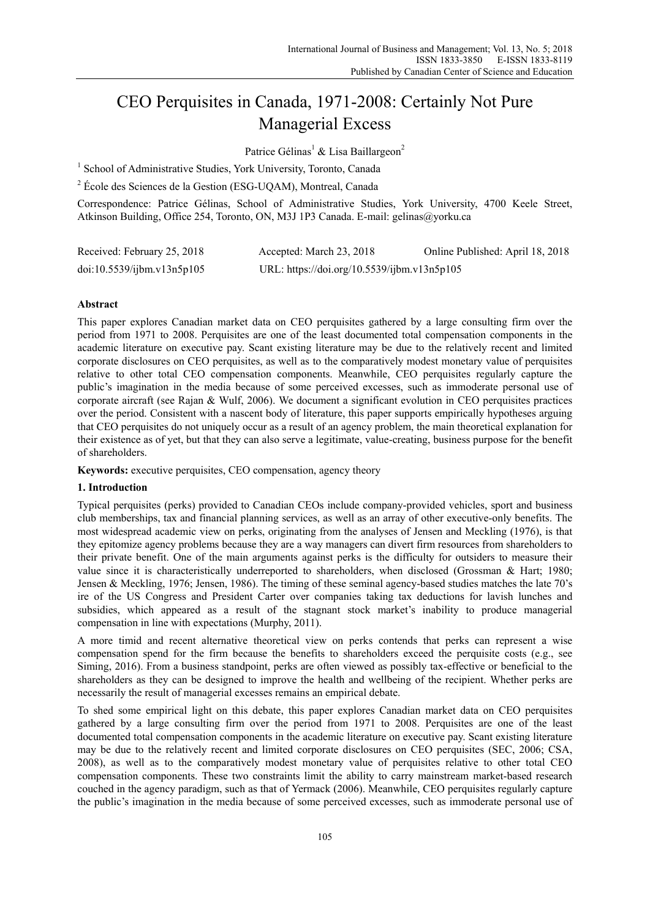# CEO Perquisites in Canada, 1971-2008: Certainly Not Pure Managerial Excess

Patrice Gélinas<sup>1</sup> & Lisa Baillargeon<sup>2</sup>

<sup>1</sup> School of Administrative Studies, York University, Toronto, Canada

<sup>2</sup> École des Sciences de la Gestion (ESG-UQAM), Montreal, Canada

Correspondence: Patrice Gélinas, School of Administrative Studies, York University, 4700 Keele Street, Atkinson Building, Office 254, Toronto, ON, M3J 1P3 Canada. E-mail: gelinas@yorku.ca

| Received: February 25, 2018 | Accepted: March 23, 2018                    | Online Published: April 18, 2018 |
|-----------------------------|---------------------------------------------|----------------------------------|
| doi:10.5539/ijbm.v13n5p105  | URL: https://doi.org/10.5539/ijbm.v13n5p105 |                                  |

# **Abstract**

This paper explores Canadian market data on CEO perquisites gathered by a large consulting firm over the period from 1971 to 2008. Perquisites are one of the least documented total compensation components in the academic literature on executive pay. Scant existing literature may be due to the relatively recent and limited corporate disclosures on CEO perquisites, as well as to the comparatively modest monetary value of perquisites relative to other total CEO compensation components. Meanwhile, CEO perquisites regularly capture the public's imagination in the media because of some perceived excesses, such as immoderate personal use of corporate aircraft (see Rajan & Wulf, 2006). We document a significant evolution in CEO perquisites practices over the period. Consistent with a nascent body of literature, this paper supports empirically hypotheses arguing that CEO perquisites do not uniquely occur as a result of an agency problem, the main theoretical explanation for their existence as of yet, but that they can also serve a legitimate, value-creating, business purpose for the benefit of shareholders.

**Keywords:** executive perquisites, CEO compensation, agency theory

# **1. Introduction**

Typical perquisites (perks) provided to Canadian CEOs include company-provided vehicles, sport and business club memberships, tax and financial planning services, as well as an array of other executive-only benefits. The most widespread academic view on perks, originating from the analyses of Jensen and Meckling (1976), is that they epitomize agency problems because they are a way managers can divert firm resources from shareholders to their private benefit. One of the main arguments against perks is the difficulty for outsiders to measure their value since it is characteristically underreported to shareholders, when disclosed (Grossman & Hart; 1980; Jensen & Meckling, 1976; Jensen, 1986). The timing of these seminal agency-based studies matches the late 70's ire of the US Congress and President Carter over companies taking tax deductions for lavish lunches and subsidies, which appeared as a result of the stagnant stock market's inability to produce managerial compensation in line with expectations (Murphy, 2011).

A more timid and recent alternative theoretical view on perks contends that perks can represent a wise compensation spend for the firm because the benefits to shareholders exceed the perquisite costs (e.g., see Siming, 2016). From a business standpoint, perks are often viewed as possibly tax-effective or beneficial to the shareholders as they can be designed to improve the health and wellbeing of the recipient. Whether perks are necessarily the result of managerial excesses remains an empirical debate.

To shed some empirical light on this debate, this paper explores Canadian market data on CEO perquisites gathered by a large consulting firm over the period from 1971 to 2008. Perquisites are one of the least documented total compensation components in the academic literature on executive pay. Scant existing literature may be due to the relatively recent and limited corporate disclosures on CEO perquisites (SEC, 2006; CSA, 2008), as well as to the comparatively modest monetary value of perquisites relative to other total CEO compensation components. These two constraints limit the ability to carry mainstream market-based research couched in the agency paradigm, such as that of Yermack (2006). Meanwhile, CEO perquisites regularly capture the public's imagination in the media because of some perceived excesses, such as immoderate personal use of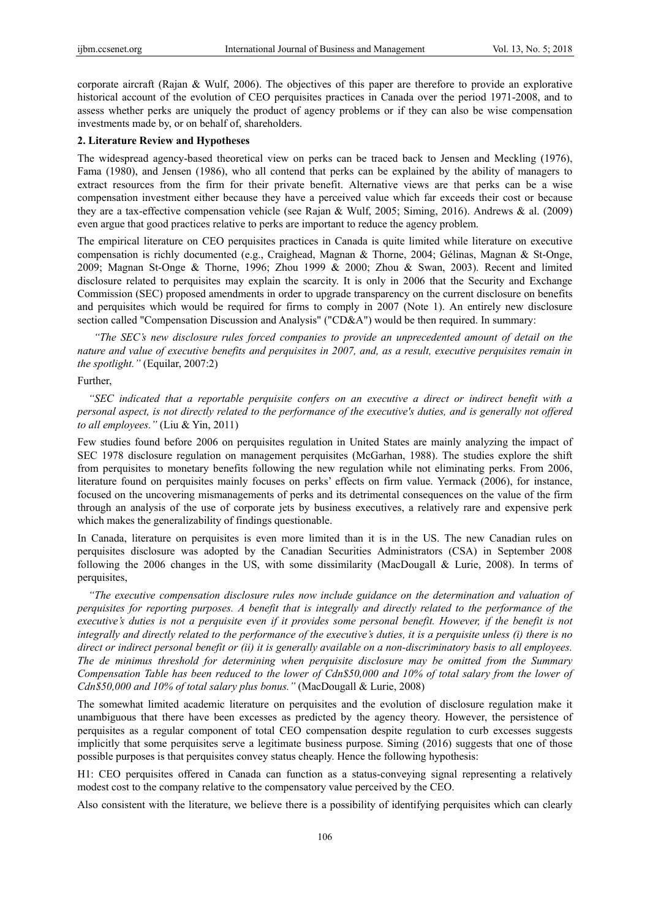corporate aircraft (Rajan & Wulf, 2006). The objectives of this paper are therefore to provide an explorative historical account of the evolution of CEO perquisites practices in Canada over the period 1971-2008, and to assess whether perks are uniquely the product of agency problems or if they can also be wise compensation investments made by, or on behalf of, shareholders.

#### **2. Literature Review and Hypotheses**

The widespread agency-based theoretical view on perks can be traced back to Jensen and Meckling (1976), Fama (1980), and Jensen (1986), who all contend that perks can be explained by the ability of managers to extract resources from the firm for their private benefit. Alternative views are that perks can be a wise compensation investment either because they have a perceived value which far exceeds their cost or because they are a tax-effective compensation vehicle (see Rajan & Wulf, 2005; Siming, 2016). Andrews & al. (2009) even argue that good practices relative to perks are important to reduce the agency problem.

The empirical literature on CEO perquisites practices in Canada is quite limited while literature on executive compensation is richly documented (e.g., Craighead, Magnan & Thorne, 2004; Gélinas, Magnan & St-Onge, 2009; Magnan St-Onge & Thorne, 1996; Zhou 1999 & 2000; Zhou & Swan, 2003). Recent and limited disclosure related to perquisites may explain the scarcity. It is only in 2006 that the Security and Exchange Commission (SEC) proposed amendments in order to upgrade transparency on the current disclosure on benefits and perquisites which would be required for firms to comply in 2007 (Note 1). An entirely new disclosure section called "Compensation Discussion and Analysis" ("CD&A") would be then required. In summary:

*"The SEC's new disclosure rules forced companies to provide an unprecedented amount of detail on the nature and value of executive benefits and perquisites in 2007, and, as a result, executive perquisites remain in the spotlight."* (Equilar, 2007:2)

## Further,

*"SEC indicated that a reportable perquisite confers on an executive a direct or indirect benefit with a personal aspect, is not directly related to the performance of the executive's duties, and is generally not offered to all employees."* (Liu & Yin, 2011)

Few studies found before 2006 on perquisites regulation in United States are mainly analyzing the impact of SEC 1978 disclosure regulation on management perquisites (McGarhan, 1988). The studies explore the shift from perquisites to monetary benefits following the new regulation while not eliminating perks. From 2006, literature found on perquisites mainly focuses on perks' effects on firm value. Yermack (2006), for instance, focused on the uncovering mismanagements of perks and its detrimental consequences on the value of the firm through an analysis of the use of corporate jets by business executives, a relatively rare and expensive perk which makes the generalizability of findings questionable.

In Canada, literature on perquisites is even more limited than it is in the US. The new Canadian rules on perquisites disclosure was adopted by the Canadian Securities Administrators (CSA) in September 2008 following the 2006 changes in the US, with some dissimilarity (MacDougall & Lurie, 2008). In terms of perquisites,

*"The executive compensation disclosure rules now include guidance on the determination and valuation of perquisites for reporting purposes. A benefit that is integrally and directly related to the performance of the executive's duties is not a perquisite even if it provides some personal benefit. However, if the benefit is not integrally and directly related to the performance of the executive's duties, it is a perquisite unless (i) there is no direct or indirect personal benefit or (ii) it is generally available on a non-discriminatory basis to all employees. The de minimus threshold for determining when perquisite disclosure may be omitted from the Summary Compensation Table has been reduced to the lower of Cdn\$50,000 and 10% of total salary from the lower of Cdn\$50,000 and 10% of total salary plus bonus."* (MacDougall & Lurie, 2008)

The somewhat limited academic literature on perquisites and the evolution of disclosure regulation make it unambiguous that there have been excesses as predicted by the agency theory. However, the persistence of perquisites as a regular component of total CEO compensation despite regulation to curb excesses suggests implicitly that some perquisites serve a legitimate business purpose. Siming (2016) suggests that one of those possible purposes is that perquisites convey status cheaply. Hence the following hypothesis:

H1: CEO perquisites offered in Canada can function as a status-conveying signal representing a relatively modest cost to the company relative to the compensatory value perceived by the CEO.

Also consistent with the literature, we believe there is a possibility of identifying perquisites which can clearly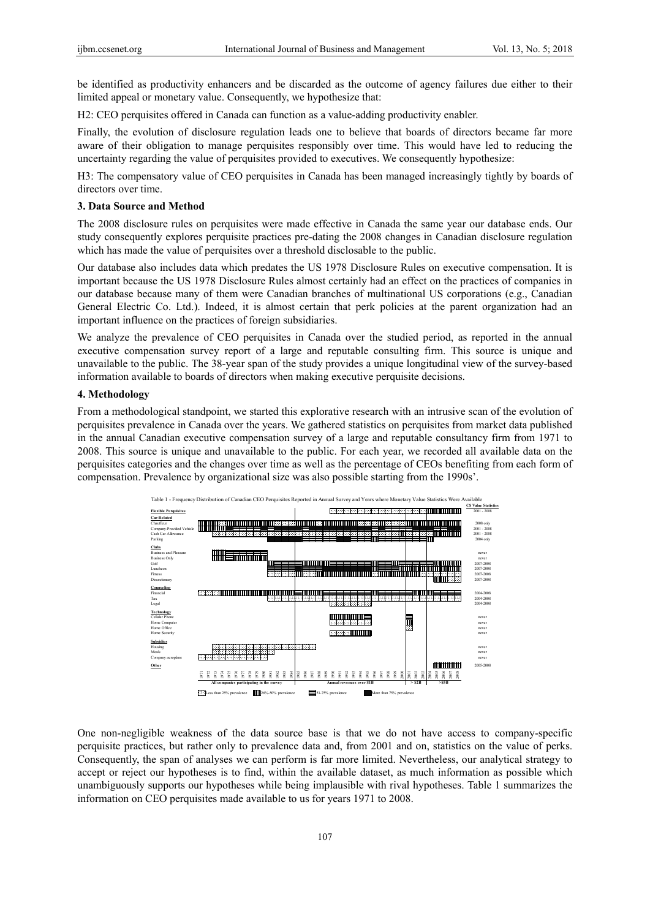be identified as productivity enhancers and be discarded as the outcome of agency failures due either to their limited appeal or monetary value. Consequently, we hypothesize that:

H2: CEO perquisites offered in Canada can function as a value-adding productivity enabler.

Finally, the evolution of disclosure regulation leads one to believe that boards of directors became far more aware of their obligation to manage perquisites responsibly over time. This would have led to reducing the uncertainty regarding the value of perquisites provided to executives. We consequently hypothesize:

H3: The compensatory value of CEO perquisites in Canada has been managed increasingly tightly by boards of directors over time.

### **3. Data Source and Method**

The 2008 disclosure rules on perquisites were made effective in Canada the same year our database ends. Our study consequently explores perquisite practices pre-dating the 2008 changes in Canadian disclosure regulation which has made the value of perquisites over a threshold disclosable to the public.

Our database also includes data which predates the US 1978 Disclosure Rules on executive compensation. It is important because the US 1978 Disclosure Rules almost certainly had an effect on the practices of companies in our database because many of them were Canadian branches of multinational US corporations (e.g., Canadian General Electric Co. Ltd.). Indeed, it is almost certain that perk policies at the parent organization had an important influence on the practices of foreign subsidiaries.

We analyze the prevalence of CEO perquisites in Canada over the studied period, as reported in the annual executive compensation survey report of a large and reputable consulting firm. This source is unique and unavailable to the public. The 38-year span of the study provides a unique longitudinal view of the survey-based information available to boards of directors when making executive perquisite decisions.

#### **4. Methodology**

From a methodological standpoint, we started this explorative research with an intrusive scan of the evolution of perquisites prevalence in Canada over the years. We gathered statistics on perquisites from market data published in the annual Canadian executive compensation survey of a large and reputable consultancy firm from 1971 to 2008. This source is unique and unavailable to the public. For each year, we recorded all available data on the perquisites categories and the changes over time as well as the percentage of CEOs benefiting from each form of compensation. Prevalence by organizational size was also possible starting from the 1990s'.



One non-negligible weakness of the data source base is that we do not have access to company-specific perquisite practices, but rather only to prevalence data and, from 2001 and on, statistics on the value of perks. Consequently, the span of analyses we can perform is far more limited. Nevertheless, our analytical strategy to accept or reject our hypotheses is to find, within the available dataset, as much information as possible which unambiguously supports our hypotheses while being implausible with rival hypotheses. Table 1 summarizes the information on CEO perquisites made available to us for years 1971 to 2008.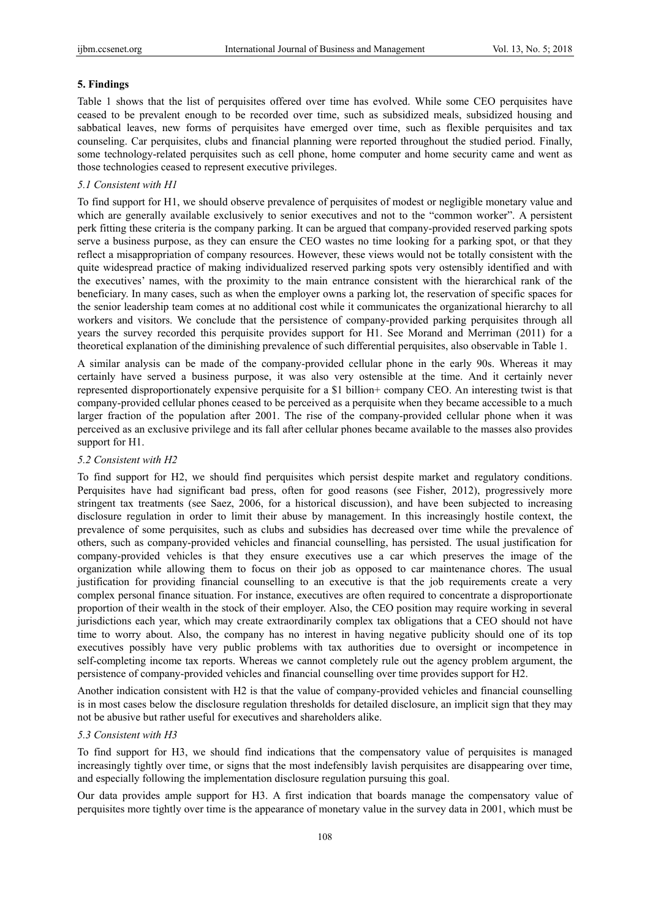#### **5. Findings**

Table 1 shows that the list of perquisites offered over time has evolved. While some CEO perquisites have ceased to be prevalent enough to be recorded over time, such as subsidized meals, subsidized housing and sabbatical leaves, new forms of perquisites have emerged over time, such as flexible perquisites and tax counseling. Car perquisites, clubs and financial planning were reported throughout the studied period. Finally, some technology-related perquisites such as cell phone, home computer and home security came and went as those technologies ceased to represent executive privileges.

# *5.1 Consistent with H1*

To find support for H1, we should observe prevalence of perquisites of modest or negligible monetary value and which are generally available exclusively to senior executives and not to the "common worker". A persistent perk fitting these criteria is the company parking. It can be argued that company-provided reserved parking spots serve a business purpose, as they can ensure the CEO wastes no time looking for a parking spot, or that they reflect a misappropriation of company resources. However, these views would not be totally consistent with the quite widespread practice of making individualized reserved parking spots very ostensibly identified and with the executives' names, with the proximity to the main entrance consistent with the hierarchical rank of the beneficiary. In many cases, such as when the employer owns a parking lot, the reservation of specific spaces for the senior leadership team comes at no additional cost while it communicates the organizational hierarchy to all workers and visitors. We conclude that the persistence of company-provided parking perquisites through all years the survey recorded this perquisite provides support for H1. See Morand and Merriman (2011) for a theoretical explanation of the diminishing prevalence of such differential perquisites, also observable in Table 1.

A similar analysis can be made of the company-provided cellular phone in the early 90s. Whereas it may certainly have served a business purpose, it was also very ostensible at the time. And it certainly never represented disproportionately expensive perquisite for a \$1 billion+ company CEO. An interesting twist is that company-provided cellular phones ceased to be perceived as a perquisite when they became accessible to a much larger fraction of the population after 2001. The rise of the company-provided cellular phone when it was perceived as an exclusive privilege and its fall after cellular phones became available to the masses also provides support for H1.

## *5.2 Consistent with H2*

To find support for H2, we should find perquisites which persist despite market and regulatory conditions. Perquisites have had significant bad press, often for good reasons (see Fisher, 2012), progressively more stringent tax treatments (see Saez, 2006, for a historical discussion), and have been subjected to increasing disclosure regulation in order to limit their abuse by management. In this increasingly hostile context, the prevalence of some perquisites, such as clubs and subsidies has decreased over time while the prevalence of others, such as company-provided vehicles and financial counselling, has persisted. The usual justification for company-provided vehicles is that they ensure executives use a car which preserves the image of the organization while allowing them to focus on their job as opposed to car maintenance chores. The usual justification for providing financial counselling to an executive is that the job requirements create a very complex personal finance situation. For instance, executives are often required to concentrate a disproportionate proportion of their wealth in the stock of their employer. Also, the CEO position may require working in several jurisdictions each year, which may create extraordinarily complex tax obligations that a CEO should not have time to worry about. Also, the company has no interest in having negative publicity should one of its top executives possibly have very public problems with tax authorities due to oversight or incompetence in self-completing income tax reports. Whereas we cannot completely rule out the agency problem argument, the persistence of company-provided vehicles and financial counselling over time provides support for H2.

Another indication consistent with H2 is that the value of company-provided vehicles and financial counselling is in most cases below the disclosure regulation thresholds for detailed disclosure, an implicit sign that they may not be abusive but rather useful for executives and shareholders alike.

### *5.3 Consistent with H3*

To find support for H3, we should find indications that the compensatory value of perquisites is managed increasingly tightly over time, or signs that the most indefensibly lavish perquisites are disappearing over time, and especially following the implementation disclosure regulation pursuing this goal.

Our data provides ample support for H3. A first indication that boards manage the compensatory value of perquisites more tightly over time is the appearance of monetary value in the survey data in 2001, which must be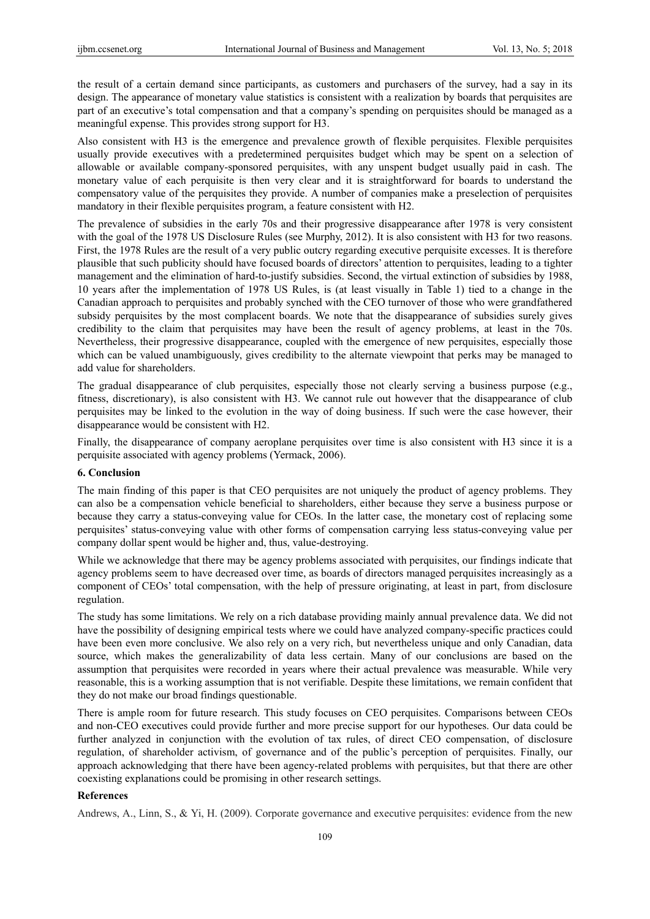the result of a certain demand since participants, as customers and purchasers of the survey, had a say in its design. The appearance of monetary value statistics is consistent with a realization by boards that perquisites are part of an executive's total compensation and that a company's spending on perquisites should be managed as a meaningful expense. This provides strong support for H3.

Also consistent with H3 is the emergence and prevalence growth of flexible perquisites. Flexible perquisites usually provide executives with a predetermined perquisites budget which may be spent on a selection of allowable or available company-sponsored perquisites, with any unspent budget usually paid in cash. The monetary value of each perquisite is then very clear and it is straightforward for boards to understand the compensatory value of the perquisites they provide. A number of companies make a preselection of perquisites mandatory in their flexible perquisites program, a feature consistent with H2.

The prevalence of subsidies in the early 70s and their progressive disappearance after 1978 is very consistent with the goal of the 1978 US Disclosure Rules (see Murphy, 2012). It is also consistent with H3 for two reasons. First, the 1978 Rules are the result of a very public outcry regarding executive perquisite excesses. It is therefore plausible that such publicity should have focused boards of directors' attention to perquisites, leading to a tighter management and the elimination of hard-to-justify subsidies. Second, the virtual extinction of subsidies by 1988, 10 years after the implementation of 1978 US Rules, is (at least visually in Table 1) tied to a change in the Canadian approach to perquisites and probably synched with the CEO turnover of those who were grandfathered subsidy perquisites by the most complacent boards. We note that the disappearance of subsidies surely gives credibility to the claim that perquisites may have been the result of agency problems, at least in the 70s. Nevertheless, their progressive disappearance, coupled with the emergence of new perquisites, especially those which can be valued unambiguously, gives credibility to the alternate viewpoint that perks may be managed to add value for shareholders.

The gradual disappearance of club perquisites, especially those not clearly serving a business purpose (e.g., fitness, discretionary), is also consistent with H3. We cannot rule out however that the disappearance of club perquisites may be linked to the evolution in the way of doing business. If such were the case however, their disappearance would be consistent with H2.

Finally, the disappearance of company aeroplane perquisites over time is also consistent with H3 since it is a perquisite associated with agency problems (Yermack, 2006).

## **6. Conclusion**

The main finding of this paper is that CEO perquisites are not uniquely the product of agency problems. They can also be a compensation vehicle beneficial to shareholders, either because they serve a business purpose or because they carry a status-conveying value for CEOs. In the latter case, the monetary cost of replacing some perquisites' status-conveying value with other forms of compensation carrying less status-conveying value per company dollar spent would be higher and, thus, value-destroying.

While we acknowledge that there may be agency problems associated with perquisites, our findings indicate that agency problems seem to have decreased over time, as boards of directors managed perquisites increasingly as a component of CEOs' total compensation, with the help of pressure originating, at least in part, from disclosure regulation.

The study has some limitations. We rely on a rich database providing mainly annual prevalence data. We did not have the possibility of designing empirical tests where we could have analyzed company-specific practices could have been even more conclusive. We also rely on a very rich, but nevertheless unique and only Canadian, data source, which makes the generalizability of data less certain. Many of our conclusions are based on the assumption that perquisites were recorded in years where their actual prevalence was measurable. While very reasonable, this is a working assumption that is not verifiable. Despite these limitations, we remain confident that they do not make our broad findings questionable.

There is ample room for future research. This study focuses on CEO perquisites. Comparisons between CEOs and non-CEO executives could provide further and more precise support for our hypotheses. Our data could be further analyzed in conjunction with the evolution of tax rules, of direct CEO compensation, of disclosure regulation, of shareholder activism, of governance and of the public's perception of perquisites. Finally, our approach acknowledging that there have been agency-related problems with perquisites, but that there are other coexisting explanations could be promising in other research settings.

## **References**

Andrews, A., Linn, S., & Yi, H. (2009). Corporate governance and executive perquisites: evidence from the new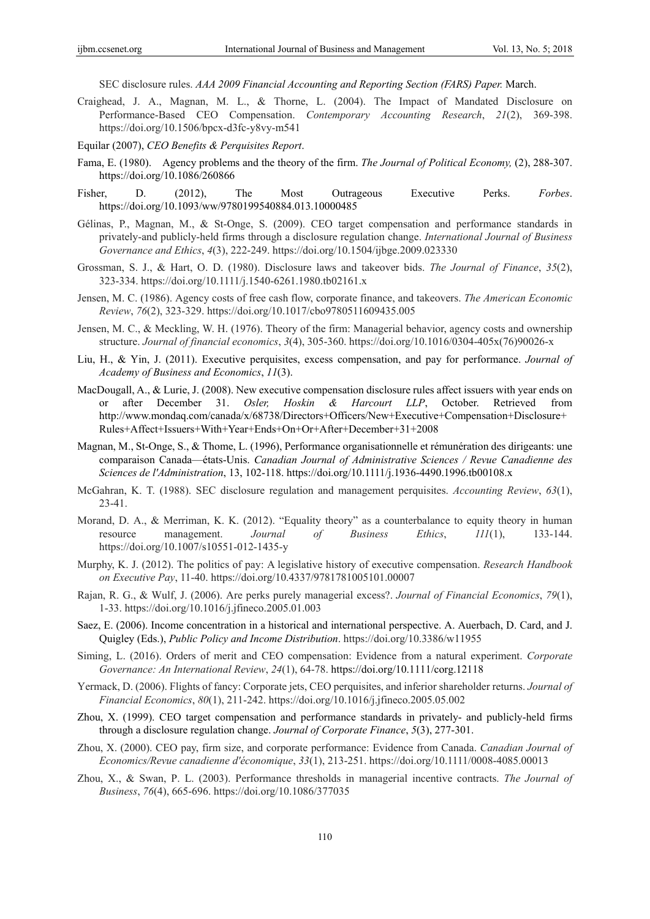SEC disclosure rules. *AAA 2009 Financial Accounting and Reporting Section (FARS) Paper.* March.

- Craighead, J. A., Magnan, M. L., & Thorne, L. (2004). The Impact of Mandated Disclosure on Performance‐Based CEO Compensation. *Contemporary Accounting Research*, *21*(2), 369-398. https://doi.org/10.1506/bpcx-d3fc-y8vy-m541
- Equilar (2007), *CEO Benefits & Perquisites Report*.
- Fama, E. (1980). Agency problems and the theory of the firm. *The Journal of Political Economy,* (2), 288-307. https://doi.org/10.1086/260866
- Fisher, D. (2012), The Most Outrageous Executive Perks. *Forbes*. https://doi.org/10.1093/ww/9780199540884.013.10000485
- Gélinas, P., Magnan, M., & St-Onge, S. (2009). CEO target compensation and performance standards in privately-and publicly-held firms through a disclosure regulation change. *International Journal of Business Governance and Ethics*, *4*(3), 222-249. https://doi.org/10.1504/ijbge.2009.023330
- Grossman, S. J., & Hart, O. D. (1980). Disclosure laws and takeover bids. *The Journal of Finance*, *35*(2), 323-334. https://doi.org/10.1111/j.1540-6261.1980.tb02161.x
- Jensen, M. C. (1986). Agency costs of free cash flow, corporate finance, and takeovers. *The American Economic Review*, *76*(2), 323-329. https://doi.org/10.1017/cbo9780511609435.005
- Jensen, M. C., & Meckling, W. H. (1976). Theory of the firm: Managerial behavior, agency costs and ownership structure. *Journal of financial economics*, *3*(4), 305-360. https://doi.org/10.1016/0304-405x(76)90026-x
- Liu, H., & Yin, J. (2011). Executive perquisites, excess compensation, and pay for performance. *Journal of Academy of Business and Economics*, *11*(3).
- MacDougall, A., & Lurie, J. (2008). New executive compensation disclosure rules affect issuers with year ends on or after December 31. *Osler, Hoskin & Harcourt LLP*, October. Retrieved from http://www.mondaq.com/canada/x/68738/Directors+Officers/New+Executive+Compensation+Disclosure+ Rules+Affect+Issuers+With+Year+Ends+On+Or+After+December+31+2008
- Magnan, M., St-Onge, S., & Thome, L. (1996), Performance organisationnelle et rémunération des dirigeants: une comparaison Canada—états-Unis. *Canadian Journal of Administrative Sciences / Revue Canadienne des Sciences de l'Administration*, 13, 102-118. https://doi.org/10.1111/j.1936-4490.1996.tb00108.x
- McGahran, K. T. (1988). SEC disclosure regulation and management perquisites. *Accounting Review*, *63*(1), 23-41.
- Morand, D. A., & Merriman, K. K. (2012). "Equality theory" as a counterbalance to equity theory in human resource management. *Journal of Business Ethics*, *111*(1), 133-144. https://doi.org/10.1007/s10551-012-1435-y
- Murphy, K. J. (2012). The politics of pay: A legislative history of executive compensation. *Research Handbook on Executive Pay*, 11-40. https://doi.org/10.4337/9781781005101.00007
- Rajan, R. G., & Wulf, J. (2006). Are perks purely managerial excess?. *Journal of Financial Economics*, *79*(1), 1-33. https://doi.org/10.1016/j.jfineco.2005.01.003
- Saez, E. (2006). Income concentration in a historical and international perspective. A. Auerbach, D. Card, and J. Quigley (Eds.), *Public Policy and Income Distribution*. https://doi.org/10.3386/w11955
- Siming, L. (2016). Orders of merit and CEO compensation: Evidence from a natural experiment. *Corporate Governance: An International Review*, *24*(1), 64-78. https://doi.org/10.1111/corg.12118
- Yermack, D. (2006). Flights of fancy: Corporate jets, CEO perquisites, and inferior shareholder returns. *Journal of Financial Economics*, *80*(1), 211-242. https://doi.org/10.1016/j.jfineco.2005.05.002
- Zhou, X. (1999). CEO target compensation and performance standards in privately- and publicly-held firms through a disclosure regulation change. *Journal of Corporate Finance*, *5*(3), 277-301.
- Zhou, X. (2000). CEO pay, firm size, and corporate performance: Evidence from Canada. *Canadian Journal of Economics/Revue canadienne d'économique*, *33*(1), 213-251. https://doi.org/10.1111/0008-4085.00013
- Zhou, X., & Swan, P. L. (2003). Performance thresholds in managerial incentive contracts. *The Journal of Business*, *76*(4), 665-696. https://doi.org/10.1086/377035